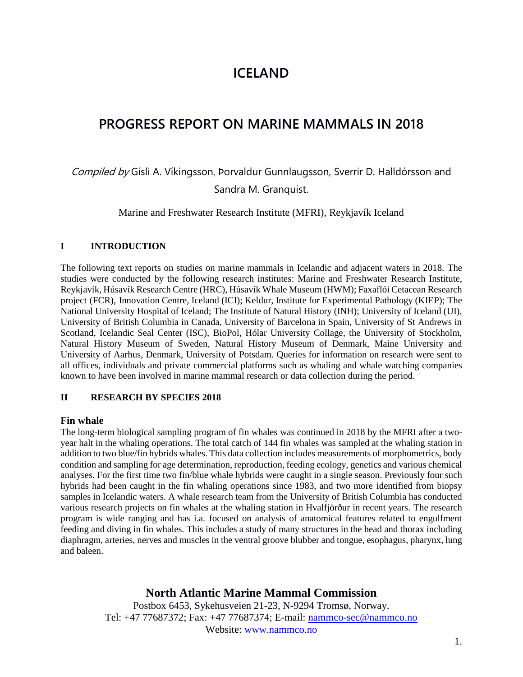# **ICELAND**

# **PROGRESS REPORT ON MARINE MAMMALS IN 2018**

Compiled by Gísli A. Víkingsson, Þorvaldur Gunnlaugsson, Sverrir D. Halldórsson and Sandra M. Granquist.

Marine and Freshwater Research Institute (MFRI), Reykjavík Iceland

#### **I INTRODUCTION**

The following text reports on studies on marine mammals in Icelandic and adjacent waters in 2018. The studies were conducted by the following research institutes: Marine and Freshwater Research Institute, Reykjavík, Húsavík Research Centre (HRC), Húsavík Whale Museum (HWM); Faxaflói Cetacean Research project (FCR), Innovation Centre, Iceland (ICI); Keldur, Institute for Experimental Pathology (KIEP); The National University Hospital of Iceland; The Institute of Natural History (INH); University of Iceland (UI), University of British Columbia in Canada, University of Barcelona in Spain, University of St Andrews in Scotland, Icelandic Seal Center (ISC), BioPol, Hólar University Collage, the University of Stockholm, Natural History Museum of Sweden, Natural History Museum of Denmark, Maine University and University of Aarhus, Denmark, University of Potsdam. Queries for information on research were sent to all offices, individuals and private commercial platforms such as whaling and whale watching companies known to have been involved in marine mammal research or data collection during the period.

#### **II RESEARCH BY SPECIES 2018**

#### **Fin whale**

The long-term biological sampling program of fin whales was continued in 2018 by the MFRI after a twoyear halt in the whaling operations. The total catch of 144 fin whales was sampled at the whaling station in addition to two blue/fin hybrids whales. This data collection includes measurements of morphometrics, body condition and sampling for age determination, reproduction, feeding ecology, genetics and various chemical analyses. For the first time two fin/blue whale hybrids were caught in a single season. Previously four such hybrids had been caught in the fin whaling operations since 1983, and two more identified from biopsy samples in Icelandic waters. A whale research team from the University of British Columbia has conducted various research projects on fin whales at the whaling station in Hvalfjörður in recent years. The research program is wide ranging and has i.a. focused on analysis of anatomical features related to engulfment feeding and diving in fin whales. This includes a study of many structures in the head and thorax including diaphragm, arteries, nerves and muscles in the ventral groove blubber and tongue, esophagus, pharynx, lung and baleen.

# **North Atlantic Marine Mammal Commission**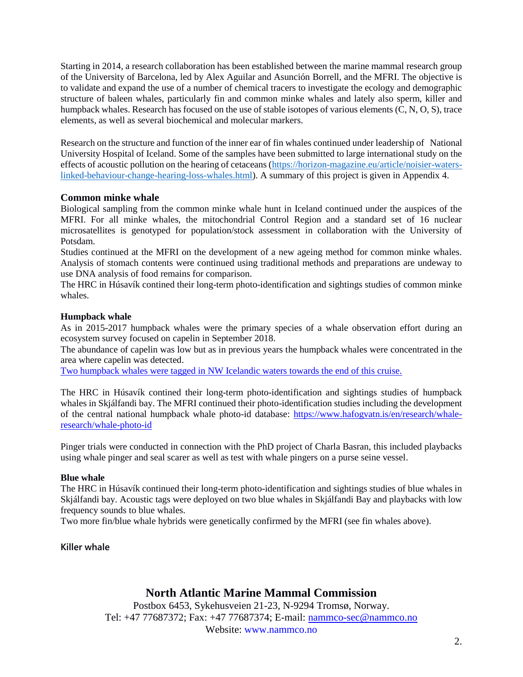Starting in 2014, a research collaboration has been established between the marine mammal research group of the University of Barcelona, led by Alex Aguilar and Asunción Borrell, and the MFRI. The objective is to validate and expand the use of a number of chemical tracers to investigate the ecology and demographic structure of baleen whales, particularly fin and common minke whales and lately also sperm, killer and humpback whales. Research has focused on the use of stable isotopes of various elements (C, N, O, S), trace elements, as well as several biochemical and molecular markers.

Research on the structure and function of the inner ear of fin whales continued under leadership of National University Hospital of Iceland. Some of the samples have been submitted to large international study on the effects of acoustic pollution on the hearing of cetaceans [\(https://horizon-magazine.eu/article/noisier-waters](https://horizon-magazine.eu/article/noisier-waters-linked-behaviour-change-hearing-loss-whales.html)[linked-behaviour-change-hearing-loss-whales.html\)](https://horizon-magazine.eu/article/noisier-waters-linked-behaviour-change-hearing-loss-whales.html). A summary of this project is given in Appendix 4.

#### **Common minke whale**

Biological sampling from the common minke whale hunt in Iceland continued under the auspices of the MFRI. For all minke whales, the mitochondrial Control Region and a standard set of 16 nuclear microsatellites is genotyped for population/stock assessment in collaboration with the University of Potsdam.

Studies continued at the MFRI on the development of a new ageing method for common minke whales. Analysis of stomach contents were continued using traditional methods and preparations are undeway to use DNA analysis of food remains for comparison.

The HRC in Húsavík contined their long-term photo-identification and sightings studies of common minke whales.

#### **Humpback whale**

As in 2015-2017 humpback whales were the primary species of a whale observation effort during an ecosystem survey focused on capelin in September 2018.

The abundance of capelin was low but as in previous years the humpback whales were concentrated in the area where capelin was detected.

Two humpback whales were tagged in NW Icelandic waters towards the end of this cruise.

The HRC in Húsavík contined their long-term photo-identification and sightings studies of humpback whales in Skjálfandi bay. The MFRI continued their photo-identification studies including the development of the central national humpback whale photo-id database: [https://www.hafogvatn.is/en/research/whale](https://www.hafogvatn.is/en/research/whale-research/whale-photo-id)[research/whale-photo-id](https://www.hafogvatn.is/en/research/whale-research/whale-photo-id)

Pinger trials were conducted in connection with the PhD project of Charla Basran, this included playbacks using whale pinger and seal scarer as well as test with whale pingers on a purse seine vessel.

#### **Blue whale**

The HRC in Húsavík continued their long-term photo-identification and sightings studies of blue whales in Skjálfandi bay. Acoustic tags were deployed on two blue whales in Skjálfandi Bay and playbacks with low frequency sounds to blue whales.

Two more fin/blue whale hybrids were genetically confirmed by the MFRI (see fin whales above).

#### **Killer whale**

# **North Atlantic Marine Mammal Commission**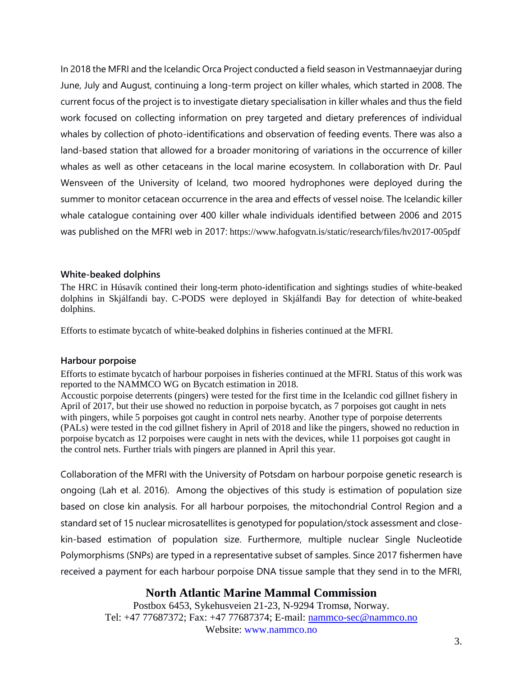In 2018 the MFRI and the Icelandic Orca Project conducted a field season in Vestmannaeyjar during June, July and August, continuing a long-term project on killer whales, which started in 2008. The current focus of the project is to investigate dietary specialisation in killer whales and thus the field work focused on collecting information on prey targeted and dietary preferences of individual whales by collection of photo-identifications and observation of feeding events. There was also a land-based station that allowed for a broader monitoring of variations in the occurrence of killer whales as well as other cetaceans in the local marine ecosystem. In collaboration with Dr. Paul Wensveen of the University of Iceland, two moored hydrophones were deployed during the summer to monitor cetacean occurrence in the area and effects of vessel noise. The Icelandic killer whale catalogue containing over 400 killer whale individuals identified between 2006 and 2015 was published on the MFRI web in 2017: https://www.hafogvatn.is/static/research/files/hv2017-005pdf

#### **White-beaked dolphins**

The HRC in Húsavík contined their long-term photo-identification and sightings studies of white-beaked dolphins in Skjálfandi bay. C-PODS were deployed in Skjálfandi Bay for detection of white-beaked dolphins.

Efforts to estimate bycatch of white-beaked dolphins in fisheries continued at the MFRI.

#### **Harbour porpoise**

Efforts to estimate bycatch of harbour porpoises in fisheries continued at the MFRI. Status of this work was reported to the NAMMCO WG on Bycatch estimation in 2018.

Accoustic porpoise deterrents (pingers) were tested for the first time in the Icelandic cod gillnet fishery in April of 2017, but their use showed no reduction in porpoise bycatch, as 7 porpoises got caught in nets with pingers, while 5 porpoises got caught in control nets nearby. Another type of porpoise deterrents (PALs) were tested in the cod gillnet fishery in April of 2018 and like the pingers, showed no reduction in porpoise bycatch as 12 porpoises were caught in nets with the devices, while 11 porpoises got caught in the control nets. Further trials with pingers are planned in April this year.

Collaboration of the MFRI with the University of Potsdam on harbour porpoise genetic research is ongoing (Lah et al. 2016). Among the objectives of this study is estimation of population size based on close kin analysis. For all harbour porpoises, the mitochondrial Control Region and a standard set of 15 nuclear microsatellites is genotyped for population/stock assessment and closekin-based estimation of population size. Furthermore, multiple nuclear Single Nucleotide Polymorphisms (SNPs) are typed in a representative subset of samples. Since 2017 fishermen have received a payment for each harbour porpoise DNA tissue sample that they send in to the MFRI,

# **North Atlantic Marine Mammal Commission**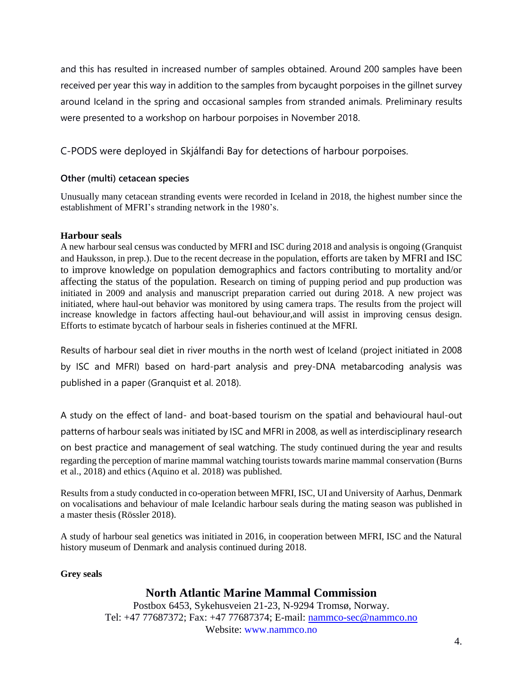and this has resulted in increased number of samples obtained. Around 200 samples have been received per year this way in addition to the samples from bycaught porpoises in the gillnet survey around Iceland in the spring and occasional samples from stranded animals. Preliminary results were presented to a workshop on harbour porpoises in November 2018.

C-PODS were deployed in Skjálfandi Bay for detections of harbour porpoises.

# **Other (multi) cetacean species**

Unusually many cetacean stranding events were recorded in Iceland in 2018, the highest number since the establishment of MFRI's stranding network in the 1980's.

### **Harbour seals**

A new harbour seal census was conducted by MFRI and ISC during 2018 and analysis is ongoing (Granquist and Hauksson, in prep.). Due to the recent decrease in the population, efforts are taken by MFRI and ISC to improve knowledge on population demographics and factors contributing to mortality and/or affecting the status of the population. Research on timing of pupping period and pup production was initiated in 2009 and analysis and manuscript preparation carried out during 2018. A new project was initiated, where haul-out behavior was monitored by using camera traps. The results from the project will increase knowledge in factors affecting haul-out behaviour,and will assist in improving census design. Efforts to estimate bycatch of harbour seals in fisheries continued at the MFRI.

Results of harbour seal diet in river mouths in the north west of Iceland (project initiated in 2008 by ISC and MFRI) based on hard-part analysis and prey-DNA metabarcoding analysis was published in a paper (Granquist et al. 2018).

A study on the effect of land- and boat-based tourism on the spatial and behavioural haul-out patterns of harbour seals was initiated by ISC and MFRI in 2008, as well as interdisciplinary research on best practice and management of seal watching. The study continued during the year and results regarding the perception of marine mammal watching tourists towards marine mammal conservation (Burns et al., 2018) and ethics (Aquino et al. 2018) was published.

Results from a study conducted in co-operation between MFRI, ISC, UI and University of Aarhus, Denmark on vocalisations and behaviour of male Icelandic harbour seals during the mating season was published in a master thesis (Rössler 2018).

A study of harbour seal genetics was initiated in 2016, in cooperation between MFRI, ISC and the Natural history museum of Denmark and analysis continued during 2018.

#### **Grey seals**

# **North Atlantic Marine Mammal Commission**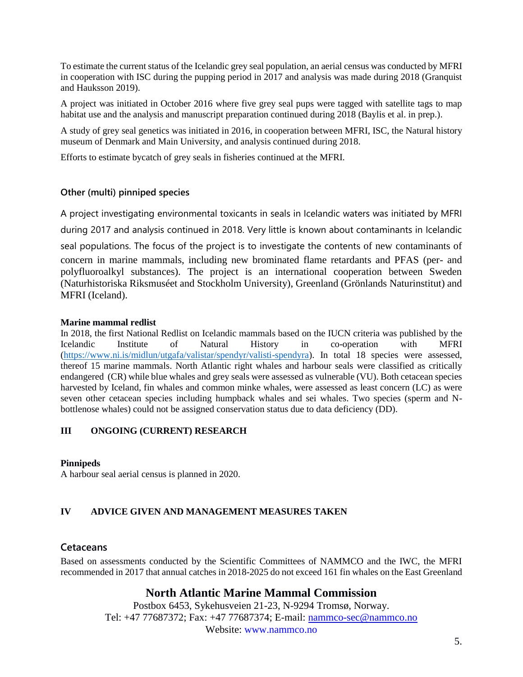To estimate the current status of the Icelandic grey seal population, an aerial census was conducted by MFRI in cooperation with ISC during the pupping period in 2017 and analysis was made during 2018 (Granquist and Hauksson 2019).

A project was initiated in October 2016 where five grey seal pups were tagged with satellite tags to map habitat use and the analysis and manuscript preparation continued during 2018 (Baylis et al. in prep.).

A study of grey seal genetics was initiated in 2016, in cooperation between MFRI, ISC, the Natural history museum of Denmark and Main University, and analysis continued during 2018.

Efforts to estimate bycatch of grey seals in fisheries continued at the MFRI.

#### **Other (multi) pinniped species**

A project investigating environmental toxicants in seals in Icelandic waters was initiated by MFRI

during 2017 and analysis continued in 2018. Very little is known about contaminants in Icelandic

seal populations. The focus of the project is to investigate the contents of new contaminants of

concern in marine mammals, including new brominated flame retardants and PFAS (per- and polyfluoroalkyl substances). The project is an international cooperation between Sweden (Naturhistoriska Riksmuséet and Stockholm University), Greenland (Grönlands Naturinstitut) and MFRI (Iceland).

#### **Marine mammal redlist**

In 2018, the first National Redlist on Icelandic mammals based on the IUCN criteria was published by the Icelandic Institute of Natural History in co-operation with MFRI [\(https://www.ni.is/midlun/utgafa/valistar/spendyr/valisti-spendyra\)](https://www.ni.is/midlun/utgafa/valistar/spendyr/valisti-spendyra). In total 18 species were assessed, thereof 15 marine mammals. North Atlantic right whales and harbour seals were classified as critically endangered (CR) while blue whales and grey seals were assessed as vulnerable (VU). Both cetacean species harvested by Iceland, fin whales and common minke whales, were assessed as least concern (LC) as were seven other cetacean species including humpback whales and sei whales. Two species (sperm and Nbottlenose whales) could not be assigned conservation status due to data deficiency (DD).

#### **III ONGOING (CURRENT) RESEARCH**

#### **Pinnipeds**

A harbour seal aerial census is planned in 2020.

#### **IV ADVICE GIVEN AND MANAGEMENT MEASURES TAKEN**

# **Cetaceans**

Based on assessments conducted by the Scientific Committees of NAMMCO and the IWC, the MFRI recommended in 2017 that annual catches in 2018-2025 do not exceed 161 fin whales on the East Greenland

# **North Atlantic Marine Mammal Commission**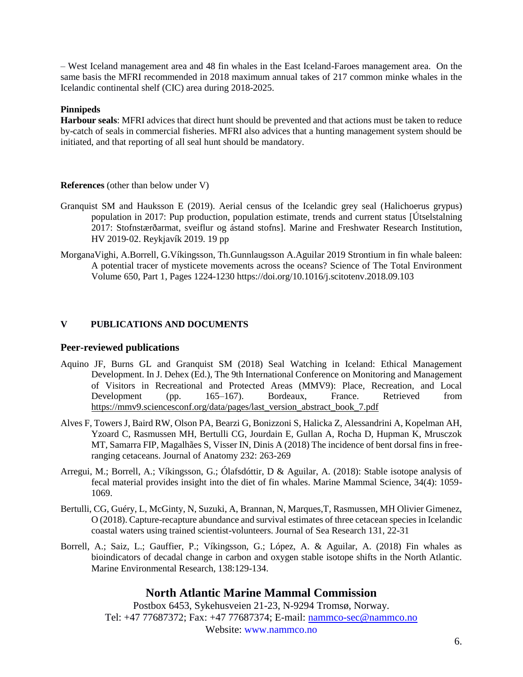– West Iceland management area and 48 fin whales in the East Iceland-Faroes management area. On the same basis the MFRI recommended in 2018 maximum annual takes of 217 common minke whales in the Icelandic continental shelf (CIC) area during 2018-2025.

#### **Pinnipeds**

**Harbour seals**: MFRI advices that direct hunt should be prevented and that actions must be taken to reduce by-catch of seals in commercial fisheries. MFRI also advices that a hunting management system should be initiated, and that reporting of all seal hunt should be mandatory.

#### **References** (other than below under V)

- Granquist SM and Hauksson E (2019). Aerial census of the Icelandic grey seal (Halichoerus grypus) population in 2017: Pup production, population estimate, trends and current status [Útselstalning 2017: Stofnstærðarmat, sveiflur og ástand stofns]. Marine and Freshwater Research Institution, HV 2019‐02. Reykjavík 2019. 19 pp
- [MorganaVighi, A.Borrell, G.Víkingsson, Th.Gunnlaugsson](https://www.sciencedirect.com/science/article/pii/S0048969718335459#!) [A.Aguilar 2019](https://www.sciencedirect.com/science/article/pii/S0048969718335459#!) Strontium in fin whale baleen: A potential tracer of mysticete movements across the oceans? [Science of The Total Environment](https://www.sciencedirect.com/science/journal/00489697) [Volume 650, Part 1,](https://www.sciencedirect.com/science/journal/00489697/650/part/P1) Pages 1224-1230<https://doi.org/10.1016/j.scitotenv.2018.09.103>

#### **V PUBLICATIONS AND DOCUMENTS**

#### **Peer-reviewed publications**

- Aquino JF, Burns GL and Granquist SM (2018) Seal Watching in Iceland: Ethical Management Development. In J. Dehex (Ed.), The 9th International Conference on Monitoring and Management of Visitors in Recreational and Protected Areas (MMV9): Place, Recreation, and Local Development (pp. 165–167). Bordeaux, France. Retrieved from [https://mmv9.sciencesconf.org/data/pages/last\\_version\\_abstract\\_book\\_7.pdf](https://emea01.safelinks.protection.outlook.com/?url=https%3A%2F%2Fmmv9.sciencesconf.org%2Fdata%2Fpages%2Flast_version_abstract_book_7.pdf&data=02|01||5e9c8e77f61f44da244a08d68b7eec51|8e105b94435e4303a61063620dbe162b|0|0|636849774583483033&sdata=Nf6BiR%2BDsU0TCklFPOnDr23aJSDd019IQb1a%2FIq1Tz0%3D&reserved=0)
- Alves F, Towers J, Baird RW, Olson PA, Bearzi G, Bonizzoni S, Halicka Z, Alessandrini A, Kopelman AH, Yzoard C, Rasmussen MH, Bertulli CG, Jourdain E, Gullan A, Rocha D, Hupman K, Mrusczok MT, Samarra FIP, Magalhães S, Visser IN, Dinis A (2018) The incidence of bent dorsal fins in freeranging cetaceans. Journal of Anatomy 232: 263-269
- Arregui, M.; Borrell, A.; Víkingsson, G.; Ólafsdóttir, D & Aguilar, A. (2018): Stable isotope analysis of fecal material provides insight into the diet of fin whales. Marine Mammal Science, 34(4): 1059- 1069.
- Bertulli, CG, Guéry, L, McGinty, N, Suzuki, A, Brannan, N, Marques,T, Rasmussen, MH Olivier Gimenez, O (2018). Capture-recapture abundance and survival estimates of three cetacean species in Icelandic coastal waters using trained scientist-volunteers. Journal of Sea Research 131, 22-31
- Borrell, A.; Saiz, L.; Gauffier, P.; Víkingsson, G.; López, A. & Aguilar, A. (2018) Fin whales as bioindicators of decadal change in carbon and oxygen stable isotope shifts in the North Atlantic. Marine Environmental Research, 138:129-134.

# **North Atlantic Marine Mammal Commission**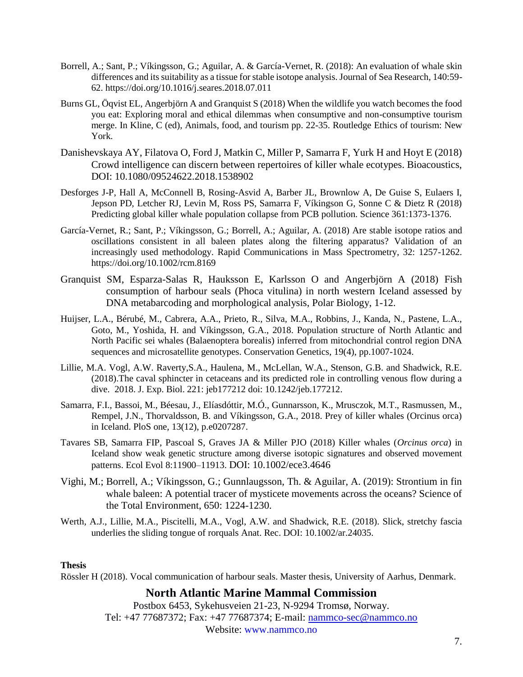- Borrell, A.; Sant, P.; Víkingsson, G.; Aguilar, A. & García-Vernet, R. (2018): An evaluation of whale skin differences and its suitability as a tissue for stable isotope analysis. Journal of Sea Research, 140:59- 62. [https://doi.org/10.1016/j.seares.2018.07.011](https://emea01.safelinks.protection.outlook.com/?url=https%3A%2F%2Fdoi.org%2F10.1016%2Fj.seares.2018.07.011&data=02%7C01%7C%7C45e1a11111e14b90eea108d69c0212ce%7C8e105b94435e4303a61063620dbe162b%7C0%7C0%7C636867930057885280&sdata=dvINacsBYQ%2BCKDWhCaLlbaTF1j4vU9Q4t3jV9YxOHoI%3D&reserved=0)
- Burns GL, Öqvist EL, Angerbjörn A and Granquist S (2018) When the wildlife you watch becomes the food you eat: Exploring moral and ethical dilemmas when consumptive and non-consumptive tourism merge. In Kline, C (ed), Animals, food, and tourism pp. 22-35. Routledge Ethics of tourism: New York.
- Danishevskaya AY, Filatova O, Ford J, Matkin C, Miller P, Samarra F, Yurk H and Hoyt E (2018) Crowd intelligence can discern between repertoires of killer whale ecotypes. Bioacoustics, DOI: 10.1080/09524622.2018.1538902
- Desforges J-P, Hall A, McConnell B, Rosing-Asvid A, Barber JL, Brownlow A, De Guise S, Eulaers I, Jepson PD, Letcher RJ, Levin M, Ross PS, Samarra F, Víkingson G, Sonne C & Dietz R (2018) Predicting global killer whale population collapse from PCB pollution. Science 361:1373-1376.
- García-Vernet, R.; Sant, P.; Víkingsson, G.; Borrell, A.; Aguilar, A. (2018) Are stable isotope ratios and oscillations consistent in all baleen plates along the filtering apparatus? Validation of an increasingly used methodology. Rapid Communications in Mass Spectrometry, 32: 1257-1262. [https://doi.org/10.1002/rcm.8169](https://emea01.safelinks.protection.outlook.com/?url=https%3A%2F%2Fdoi.org%2F10.1002%2Frcm.8169&data=02%7C01%7C%7C45e1a11111e14b90eea108d69c0212ce%7C8e105b94435e4303a61063620dbe162b%7C0%7C0%7C636867930057875272&sdata=LBf4b7zBHQG%2FhLQSEFZZilh9NLJiOcAENCmM1z7Gono%3D&reserved=0)
- Granquist SM, Esparza-Salas R, Hauksson E, Karlsson O and Angerbjörn A (2018) Fish consumption of harbour seals (Phoca vitulina) in north western Iceland assessed by DNA metabarcoding and morphological analysis, Polar Biology, 1-12.
- Huijser, L.A., Bérubé, M., Cabrera, A.A., Prieto, R., Silva, M.A., Robbins, J., Kanda, N., Pastene, L.A., Goto, M., Yoshida, H. and Víkingsson, G.A., 2018. Population structure of North Atlantic and North Pacific sei whales (Balaenoptera borealis) inferred from mitochondrial control region DNA sequences and microsatellite genotypes. Conservation Genetics, 19(4), pp.1007-1024.
- Lillie, M.A. Vogl, A.W. Raverty,S.A., Haulena, M., McLellan, W.A., Stenson, G.B. and Shadwick, R.E. (2018).The caval sphincter in cetaceans and its predicted role in controlling venous flow during a dive. 2018. J. Exp. Biol. 221: jeb177212 doi: 10.1242/jeb.177212.
- Samarra, F.I., Bassoi, M., Béesau, J., Elíasdóttir, M.Ó., Gunnarsson, K., Mrusczok, M.T., Rasmussen, M., Rempel, J.N., Thorvaldsson, B. and Víkingsson, G.A., 2018. Prey of killer whales (Orcinus orca) in Iceland. PloS one, 13(12), p.e0207287.
- Tavares SB, Samarra FIP, Pascoal S, Graves JA & Miller PJO (2018) Killer whales (*Orcinus orca*) in Iceland show weak genetic structure among diverse isotopic signatures and observed movement patterns. Ecol Evol 8:11900–11913. DOI: 10.1002/ece3.4646
- Vighi, M.; Borrell, A.; Víkingsson, G.; Gunnlaugsson, Th. & Aguilar, A. (2019): Strontium in fin whale baleen: A potential tracer of mysticete movements across the oceans? Science of the Total Environment, 650: 1224-1230.
- Werth, A.J., Lillie, M.A., Piscitelli, M.A., Vogl, A.W. and Shadwick, R.E. (2018). Slick, stretchy fascia underlies the sliding tongue of rorquals Anat. Rec. DOI: 10.1002/ar.24035.

#### **Thesis**

Rössler H (2018). Vocal communication of harbour seals. Master thesis, University of Aarhus, Denmark.

# **North Atlantic Marine Mammal Commission**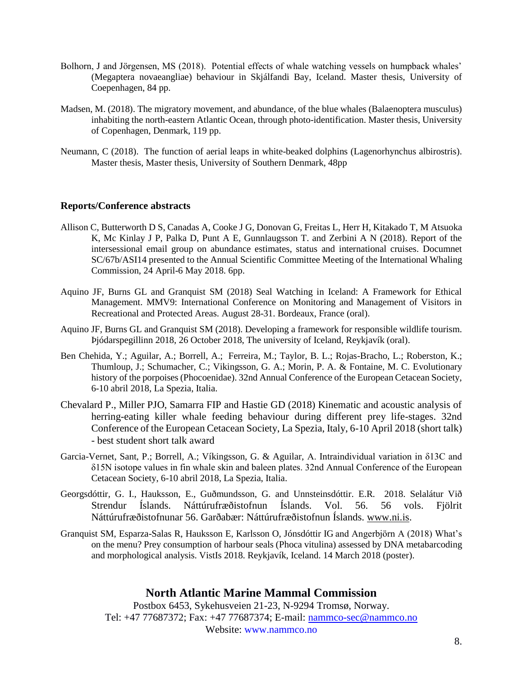- Bolhorn, J and Jörgensen, MS (2018). Potential effects of whale watching vessels on humpback whales' (Megaptera novaeangliae) behaviour in Skjálfandi Bay, Iceland. Master thesis, University of Coepenhagen, 84 pp.
- Madsen, M. (2018). The migratory movement, and abundance, of the blue whales (Balaenoptera musculus) inhabiting the north-eastern Atlantic Ocean, through photo-identification. Master thesis, University of Copenhagen, Denmark, 119 pp.
- Neumann, C (2018). The function of aerial leaps in white-beaked dolphins (Lagenorhynchus albirostris). Master thesis, Master thesis, University of Southern Denmark, 48pp

#### **Reports/Conference abstracts**

- Allison C, Butterworth D S, Canadas A, Cooke J G, Donovan G, Freitas L, Herr H, Kitakado T, M Atsuoka K, Mc Kinlay J P, Palka D, Punt A E, Gunnlaugsson T. and Zerbini A N (2018). Report of the intersessional email group on abundance estimates, status and international cruises. Documnet SC/67b/ASI14 presented to the Annual Scientific Committee Meeting of the International Whaling Commission, 24 April-6 May 2018. 6pp.
- Aquino JF, Burns GL and Granquist SM (2018) Seal Watching in Iceland: A Framework for Ethical Management. MMV9: International Conference on Monitoring and Management of Visitors in Recreational and Protected Areas. August 28-31. Bordeaux, France (oral).
- Aquino JF, Burns GL and Granquist SM (2018). Developing a framework for responsible wildlife tourism. Þjódarspegillinn 2018, 26 October 2018, The university of Iceland, Reykjavík (oral).
- Ben Chehida, Y.; Aguilar, A.; Borrell, A.; Ferreira, M.; Taylor, B. L.; Rojas-Bracho, L.; Roberston, K.; Thumloup, J.; Schumacher, C.; Vikingsson, G. A.; Morin, P. A. & Fontaine, M. C. Evolutionary history of the porpoises (Phocoenidae). 32nd Annual Conference of the European Cetacean Society, 6-10 abril 2018, La Spezia, Italia.
- Chevalard P., Miller PJO, Samarra FIP and Hastie GD (2018) Kinematic and acoustic analysis of herring-eating killer whale feeding behaviour during different prey life-stages. 32nd Conference of the European Cetacean Society, La Spezia, Italy, 6-10 April 2018 (short talk) - best student short talk award
- Garcia-Vernet, Sant, P.; Borrell, A.; Víkingsson, G. & Aguilar, A. Intraindividual variation in δ13C and δ15N isotope values in fin whale skin and baleen plates. 32nd Annual Conference of the European Cetacean Society, 6-10 abril 2018, La Spezia, Italia.
- Georgsdóttir, G. I., Hauksson, E., Guðmundsson, G. and Unnsteinsdóttir. E.R. 2018. Selalátur Við Strendur Íslands. Náttúrufræðistofnun Íslands. Vol. 56. 56 vols. Fjölrit Náttúrufræðistofnunar 56. Garðabær: Náttúrufræðistofnun Íslands. [www.ni.is.](http://www.ni.is/)
- Granquist SM, Esparza-Salas R, Hauksson E, Karlsson O, Jónsdóttir IG and Angerbjörn A (2018) What's on the menu? Prey consumption of harbour seals (Phoca vitulina) assessed by DNA metabarcoding and morphological analysis. VistIs 2018. Reykjavík, Iceland. 14 March 2018 (poster).

# **North Atlantic Marine Mammal Commission**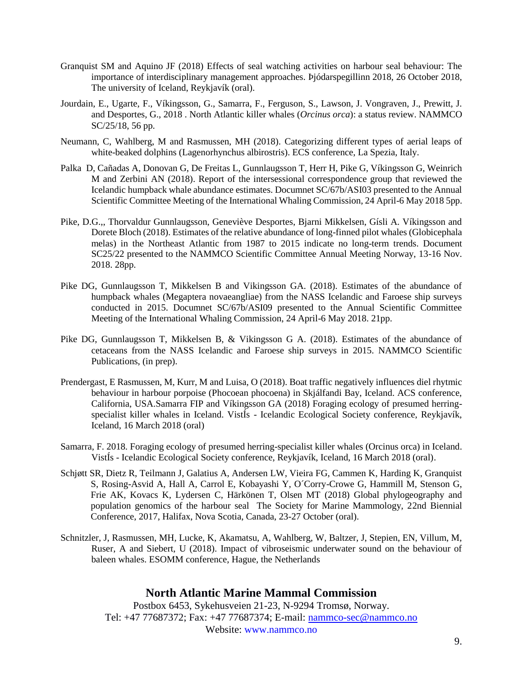- Granquist SM and Aquino JF (2018) Effects of seal watching activities on harbour seal behaviour: The importance of interdisciplinary management approaches. Þjódarspegillinn 2018, 26 October 2018, The university of Iceland, Reykjavík (oral).
- Jourdain, E., Ugarte, F., Víkingsson, G., Samarra, F., Ferguson, S., Lawson, J. Vongraven, J., Prewitt, J. and Desportes, G., 2018 . North Atlantic killer whales (*Orcinus orca*): a status review. NAMMCO SC/25/18, 56 pp.
- Neumann, C, Wahlberg, M and Rasmussen, MH (2018). Categorizing different types of aerial leaps of white-beaked dolphins (Lagenorhynchus albirostris). ECS conference, La Spezia, Italy.
- Palka D, Cañadas A, Donovan G, De Freitas L, Gunnlaugsson T, Herr H, Pike G, Víkingsson G, Weinrich M and Zerbini AN (2018). Report of the intersessional correspondence group that reviewed the Icelandic humpback whale abundance estimates. Documnet SC/67b/ASI03 presented to the Annual Scientific Committee Meeting of the International Whaling Commission, 24 April-6 May 2018 5pp.
- Pike, D.G.,, Thorvaldur Gunnlaugsson, Geneviève Desportes, Bjarni Mikkelsen, Gísli A. Víkingsson and Dorete Bloch (2018). Estimates of the relative abundance of long-finned pilot whales (Globicephala melas) in the Northeast Atlantic from 1987 to 2015 indicate no long-term trends. Document SC25/22 presented to the NAMMCO Scientific Committee Annual Meeting Norway, 13-16 Nov. 2018. 28pp.
- Pike DG, Gunnlaugsson T, Mikkelsen B and Vikingsson GA. (2018). Estimates of the abundance of humpback whales (Megaptera novaeangliae) from the NASS Icelandic and Faroese ship surveys conducted in 2015. Documnet SC/67b/ASI09 presented to the Annual Scientific Committee Meeting of the International Whaling Commission, 24 April-6 May 2018. 21pp.
- Pike DG, Gunnlaugsson T, Mikkelsen B, & Vikingsson G A. (2018). Estimates of the abundance of cetaceans from the NASS Icelandic and Faroese ship surveys in 2015. NAMMCO Scientific Publications, (in prep).
- Prendergast, E Rasmussen, M, Kurr, M and Luisa, O (2018). Boat traffic negatively influences diel rhytmic behaviour in harbour porpoise (Phocoean phocoena) in Skjálfandi Bay, Iceland. ACS conference, California, USA.Samarra FIP and Víkingsson GA (2018) Foraging ecology of presumed herringspecialist killer whales in Iceland. VistÍs - Icelandic Ecological Society conference, Reykjavík, Iceland, 16 March 2018 (oral)
- Samarra, F. 2018. Foraging ecology of presumed herring-specialist killer whales (Orcinus orca) in Iceland. VistÍs - Icelandic Ecological Society conference, Reykjavík, Iceland, 16 March 2018 (oral).
- Schjøtt SR, Dietz R, Teilmann J, Galatius A, Andersen LW, Vieira FG, Cammen K, Harding K, Granquist S, Rosing-Asvid A, Hall A, Carrol E, Kobayashi Y, O´Corry-Crowe G, Hammill M, Stenson G, Frie AK, Kovacs K, Lydersen C, Härkönen T, Olsen MT (2018) Global phylogeography and population genomics of the harbour seal The Society for Marine Mammology, 22nd Biennial Conference, 2017, Halifax, Nova Scotia, Canada, 23-27 October (oral).
- Schnitzler, J, Rasmussen, MH, Lucke, K, Akamatsu, A, Wahlberg, W, Baltzer, J, Stepien, EN, Villum, M, Ruser, A and Siebert, U (2018). Impact of vibroseismic underwater sound on the behaviour of baleen whales. ESOMM conference, Hague, the Netherlands

# **North Atlantic Marine Mammal Commission**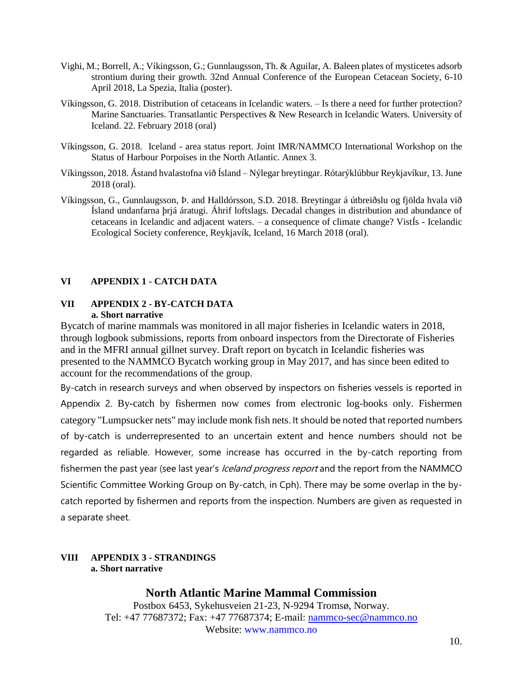- Vighi, M.; Borrell, A.; Víkingsson, G.; Gunnlaugsson, Th. & Aguilar, A. Baleen plates of mysticetes adsorb strontium during their growth. 32nd Annual Conference of the European Cetacean Society, 6-10 April 2018, La Spezia, Italia (poster).
- Víkingsson, G. 2018. Distribution of cetaceans in Icelandic waters. Is there a need for further protection? Marine Sanctuaries. Transatlantic Perspectives & New Research in Icelandic Waters. University of Iceland. 22. February 2018 (oral)
- Víkingsson, G. 2018. Iceland area status report. Joint IMR/NAMMCO International Workshop on the Status of Harbour Porpoises in the North Atlantic. Annex 3.
- Víkingsson, 2018. Ástand hvalastofna við Ísland Nýlegar breytingar. Rótarýklúbbur Reykjavíkur, 13. June 2018 (oral).
- Víkingsson, G., Gunnlaugsson, Þ. and Halldórsson, S.D. 2018. Breytingar á útbreiðslu og fjölda hvala við Ísland undanfarna þrjá áratugi. Áhrif loftslags. Decadal changes in distribution and abundance of cetaceans in Icelandic and adjacent waters. – a consequence of climate change? VistÍs - Icelandic Ecological Society conference, Reykjavík, Iceland, 16 March 2018 (oral).

### **VI APPENDIX 1 - CATCH DATA**

#### **VII APPENDIX 2 - BY-CATCH DATA a. Short narrative**

Bycatch of marine mammals was monitored in all major fisheries in Icelandic waters in 2018, through logbook submissions, reports from onboard inspectors from the Directorate of Fisheries and in the MFRI annual gillnet survey. Draft report on bycatch in Icelandic fisheries was presented to the NAMMCO Bycatch working group in May 2017, and has since been edited to account for the recommendations of the group.

By-catch in research surveys and when observed by inspectors on fisheries vessels is reported in Appendix 2. By-catch by fishermen now comes from electronic log-books only. Fishermen category "Lumpsucker nets" may include monk fish nets. It should be noted that reported numbers of by-catch is underrepresented to an uncertain extent and hence numbers should not be regarded as reliable. However, some increase has occurred in the by-catch reporting from fishermen the past year (see last year's *Iceland progress report* and the report from the NAMMCO Scientific Committee Working Group on By-catch, in Cph). There may be some overlap in the bycatch reported by fishermen and reports from the inspection. Numbers are given as requested in a separate sheet.

### **VIII APPENDIX 3 - STRANDINGS a. Short narrative**

# **North Atlantic Marine Mammal Commission**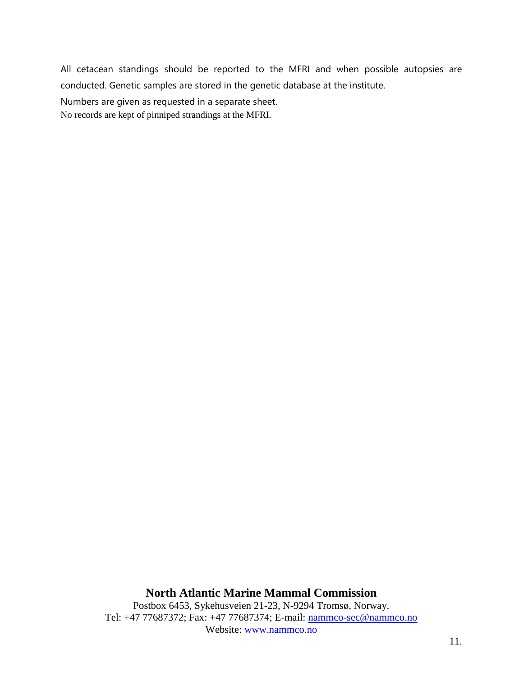All cetacean standings should be reported to the MFRI and when possible autopsies are conducted. Genetic samples are stored in the genetic database at the institute.

Numbers are given as requested in a separate sheet.

No records are kept of pinniped strandings at the MFRI.

### **North Atlantic Marine Mammal Commission**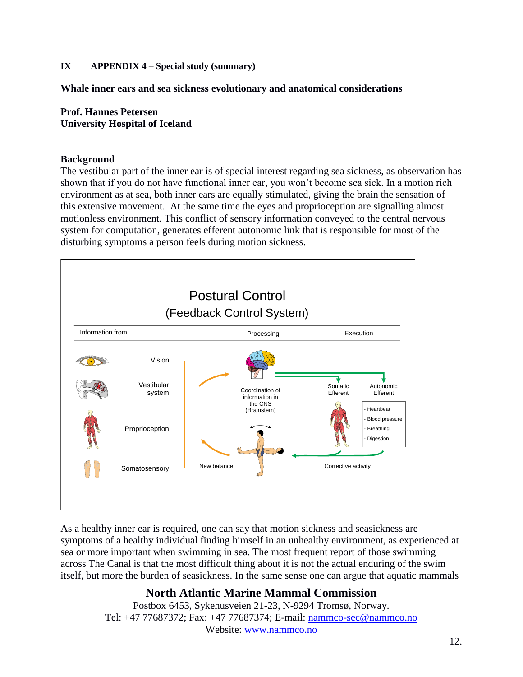# **IX APPENDIX 4 – Special study (summary)**

**Whale inner ears and sea sickness evolutionary and anatomical considerations**

### **Prof. Hannes Petersen University Hospital of Iceland**

#### **Background**

The vestibular part of the inner ear is of special interest regarding sea sickness, as observation has shown that if you do not have functional inner ear, you won't become sea sick. In a motion rich environment as at sea, both inner ears are equally stimulated, giving the brain the sensation of this extensive movement. At the same time the eyes and proprioception are signalling almost motionless environment. This conflict of sensory information conveyed to the central nervous system for computation, generates efferent autonomic link that is responsible for most of the disturbing symptoms a person feels during motion sickness.



As a healthy inner ear is required, one can say that motion sickness and seasickness are symptoms of a healthy individual finding himself in an unhealthy environment, as experienced at sea or more important when swimming in sea. The most frequent report of those swimming across The Canal is that the most difficult thing about it is not the actual enduring of the swim itself, but more the burden of seasickness. In the same sense one can argue that aquatic mammals

# **North Atlantic Marine Mammal Commission**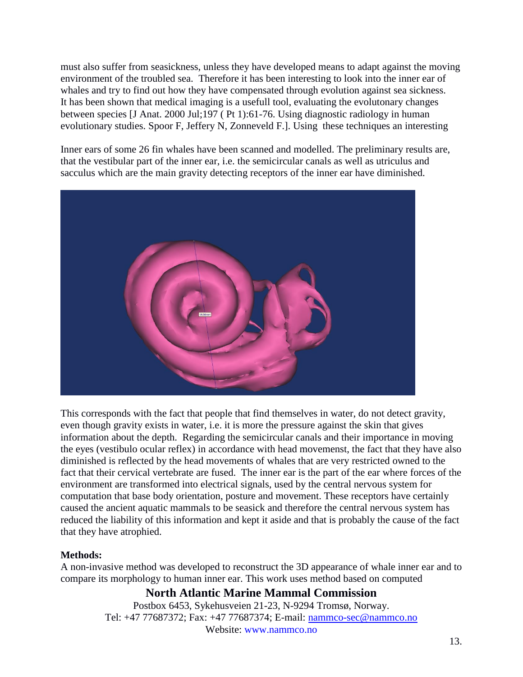must also suffer from seasickness, unless they have developed means to adapt against the moving environment of the troubled sea. Therefore it has been interesting to look into the inner ear of whales and try to find out how they have compensated through evolution against sea sickness. It has been shown that medical imaging is a usefull tool, evaluating the evolutonary changes between species [\[J Anat.](javascript:AL_get(this,%20) 2000 Jul;197 ( Pt 1):61-76. Using diagnostic radiology in human evolutionary studies. [Spoor F,](http://www.ncbi.nlm.nih.gov/pubmed?term=%22Spoor%20F%22%5BAuthor%5D) [Jeffery N,](http://www.ncbi.nlm.nih.gov/pubmed?term=%22Jeffery%20N%22%5BAuthor%5D) [Zonneveld F.](http://www.ncbi.nlm.nih.gov/pubmed?term=%22Zonneveld%20F%22%5BAuthor%5D)]. Using these techniques an interesting

Inner ears of some 26 fin whales have been scanned and modelled. The preliminary results are, that the vestibular part of the inner ear, i.e. the semicircular canals as well as utriculus and sacculus which are the main gravity detecting receptors of the inner ear have diminished.



This corresponds with the fact that people that find themselves in water, do not detect gravity, even though gravity exists in water, i.e. it is more the pressure against the skin that gives information about the depth. Regarding the semicircular canals and their importance in moving the eyes (vestibulo ocular reflex) in accordance with head movemenst, the fact that they have also diminished is reflected by the head movements of whales that are very restricted owned to the fact that their cervical vertebrate are fused. The inner ear is the part of the ear where forces of the environment are transformed into electrical signals, used by the central nervous system for computation that base body orientation, posture and movement. These receptors have certainly caused the ancient aquatic mammals to be seasick and therefore the central nervous system has reduced the liability of this information and kept it aside and that is probably the cause of the fact that they have atrophied.

# **Methods:**

A non-invasive method was developed to reconstruct the 3D appearance of whale inner ear and to compare its morphology to human inner ear. This work uses method based on computed

# **North Atlantic Marine Mammal Commission**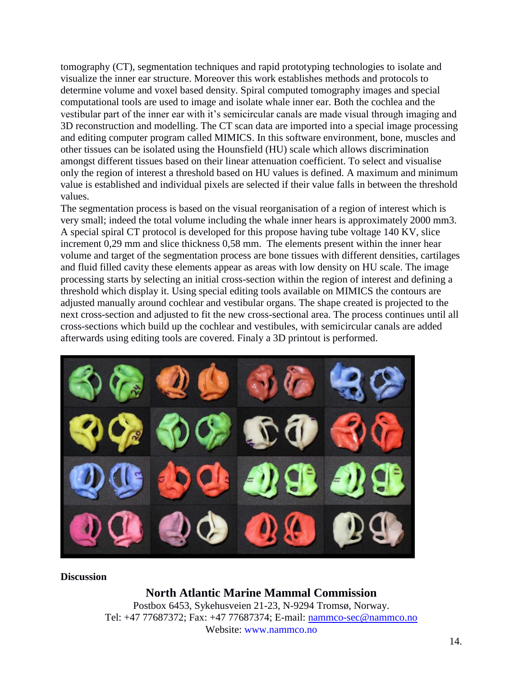tomography (CT), segmentation techniques and rapid prototyping technologies to isolate and visualize the inner ear structure. Moreover this work establishes methods and protocols to determine volume and voxel based density. Spiral computed tomography images and special computational tools are used to image and isolate whale inner ear. Both the cochlea and the vestibular part of the inner ear with it's semicircular canals are made visual through imaging and 3D reconstruction and modelling. The CT scan data are imported into a special image processing and editing computer program called MIMICS. In this software environment, bone, muscles and other tissues can be isolated using the Hounsfield (HU) scale which allows discrimination amongst different tissues based on their linear attenuation coefficient. To select and visualise only the region of interest a threshold based on HU values is defined. A maximum and minimum value is established and individual pixels are selected if their value falls in between the threshold values.

The segmentation process is based on the visual reorganisation of a region of interest which is very small; indeed the total volume including the whale inner hears is approximately 2000 mm3. A special spiral CT protocol is developed for this propose having tube voltage 140 KV, slice increment 0,29 mm and slice thickness 0,58 mm. The elements present within the inner hear volume and target of the segmentation process are bone tissues with different densities, cartilages and fluid filled cavity these elements appear as areas with low density on HU scale. The image processing starts by selecting an initial cross-section within the region of interest and defining a threshold which display it. Using special editing tools available on MIMICS the contours are adjusted manually around cochlear and vestibular organs. The shape created is projected to the next cross-section and adjusted to fit the new cross-sectional area. The process continues until all cross-sections which build up the cochlear and vestibules, with semicircular canals are added afterwards using editing tools are covered. Finaly a 3D printout is performed.



**Discussion**

# **North Atlantic Marine Mammal Commission**